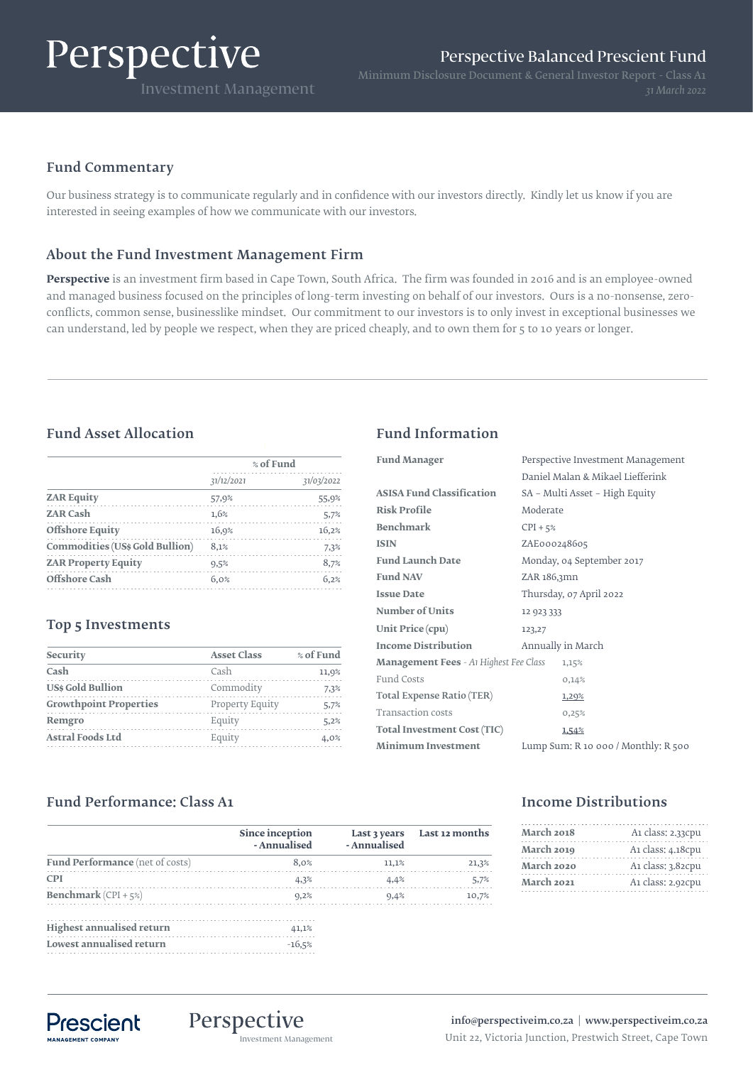# Perspective

# Fund Commentary

Our business strategy is to communicate regularly and in confidence with our investors directly. Kindly let us know if you are interested in seeing examples of how we communicate with our investors.

# About the Fund Investment Management Firm

**Perspective** is an investment firm based in Cape Town, South Africa. The firm was founded in 2016 and is an employee-owned and managed business focused on the principles of long-term investing on behalf of our investors. Ours is a no-nonsense, zeroconflicts, common sense, businesslike mindset. Our commitment to our investors is to only invest in exceptional businesses we can understand, led by people we respect, when they are priced cheaply, and to own them for 5 to 10 years or longer.

# Fund Asset Allocation Fund Information

|                                        | % of Fund  |            |
|----------------------------------------|------------|------------|
|                                        | 31/12/2021 | 31/03/2022 |
| <b>ZAR Equity</b>                      | 57,9%      | 55,9%      |
| <b>ZAR Cash</b>                        | 1,6%       | 5,7%       |
| <b>Offshore Equity</b>                 | 16,9%      | 16,2%      |
| <b>Commodities (US\$ Gold Bullion)</b> | 8,1%       | 7,3%       |
| <b>ZAR Property Equity</b>             | 9,5%       | 8,7%       |
| Offshore Cash                          | 6.0%       | 6.2%       |

## Top 5 Investments

| Security                      | <b>Asset Class</b> | % of Fund |
|-------------------------------|--------------------|-----------|
| Cash                          | Cash               | 11,9%     |
| <b>USs Gold Bullion</b>       | Commodity          | 7.3%      |
| <b>Growthpoint Properties</b> | Property Equity    | 5.7%      |
| Remgro                        | Equity             | 5,2%      |
| <b>Astral Foods Ltd</b>       | Equity             | 4.0%      |
|                               |                    |           |

| <b>Fund Manager</b>                           | Perspective Investment Management       |
|-----------------------------------------------|-----------------------------------------|
|                                               | Daniel Malan & Mikael Liefferink        |
| <b>ASISA Fund Classification</b>              | SA – Multi Asset – High Equity          |
| <b>Risk Profile</b>                           | Moderate                                |
| <b>Benchmark</b>                              | $CPI + 5%$                              |
| <b>ISIN</b>                                   | ZAE000248605                            |
| <b>Fund Launch Date</b>                       | Monday, 04 September 2017               |
| <b>Fund NAV</b>                               | ZAR 186,3mn                             |
| <b>Issue Date</b>                             | Thursday, 07 April 2022                 |
| <b>Number of Units</b>                        | 12 923 333                              |
| Unit Price (cpu)                              | 123,27                                  |
| <b>Income Distribution</b>                    | Annually in March                       |
| <b>Management Fees</b> - At Highest Fee Class | 1,15%                                   |
| Fund Costs                                    | 0,14%                                   |
| Total Expense Ratio (TER)                     | 1,20%                                   |
| Transaction costs                             | 0,25%                                   |
| Total Investment Cost (TIC)                   | 1,54%                                   |
| <b>Minimum Investment</b>                     | Lump Sum: $R$ 10 000 / Monthly: $R$ 500 |

# Fund Performance: Class A1

|                                  | Since inception<br>- Annualised | - Annualised | Last 3 years Last 12 months |
|----------------------------------|---------------------------------|--------------|-----------------------------|
| Fund Performance (net of costs)  | 8.0%                            | 11.1%        | 21,3%                       |
| <b>CPI</b>                       | 4,3%                            | 4.4%         | 5,7%                        |
| <b>Benchmark</b> $(CPI + 5%)$    | 9,2%                            | 9.4%         | 10,7%                       |
| <b>Highest annualised return</b> | 41,1%                           |              |                             |
| Lowest annualised return         | $-16,5%$                        |              |                             |

## Income Distributions

| March 2018 | A1 class: 2.33cpu |  |
|------------|-------------------|--|
| March 2019 | A1 class: 4.18cpu |  |
| March 2020 | A1 class: 3.82cpu |  |
| March 2021 | A1 class: 2.92cpu |  |

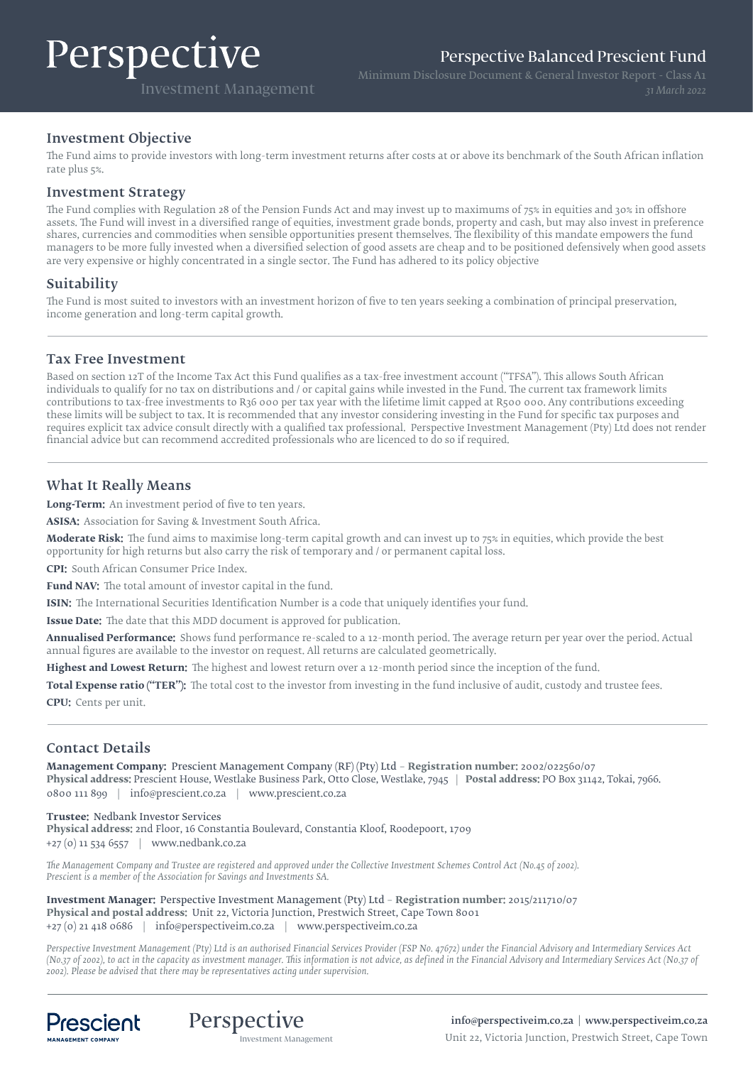# Perspective

Perspective Balanced Prescient Fund

Investment Management

Minimum Disclosure Document & General Investor Report - Class A1

#### Investment Objective

The Fund aims to provide investors with long-term investment returns after costs at or above its benchmark of the South African inflation rate plus 5%.

#### Investment Strategy

The Fund complies with Regulation 28 of the Pension Funds Act and may invest up to maximums of 75% in equities and 30% in offshore assets. The Fund will invest in a diversified range of equities, investment grade bonds, property and cash, but may also invest in preference shares, currencies and commodities when sensible opportunities present themselves. The flexibility of this mandate empowers the fund managers to be more fully invested when a diversified selection of good assets are cheap and to be positioned defensively when good assets are very expensive or highly concentrated in a single sector. The Fund has adhered to its policy objective

#### Suitability

The Fund is most suited to investors with an investment horizon of five to ten years seeking a combination of principal preservation, income generation and long-term capital growth.

#### Tax Free Investment

Based on section 12T of the Income Tax Act this Fund qualifies as a tax-free investment account ("TFSA"). This allows South African individuals to qualify for no tax on distributions and / or capital gains while invested in the Fund. The current tax framework limits contributions to tax-free investments to R36 000 per tax year with the lifetime limit capped at R500 000. Any contributions exceeding these limits will be subject to tax. It is recommended that any investor considering investing in the Fund for specific tax purposes and requires explicit tax advice consult directly with a qualified tax professional. Perspective Investment Management (Pty) Ltd does not render financial advice but can recommend accredited professionals who are licenced to do so if required.

### What It Really Means

**Long-Term:** An investment period of five to ten years.

**ASISA:** Association for Saving & Investment South Africa.

**Moderate Risk:** The fund aims to maximise long-term capital growth and can invest up to 75% in equities, which provide the best opportunity for high returns but also carry the risk of temporary and / or permanent capital loss.

**CPI:** South African Consumer Price Index.

**Fund NAV:** The total amount of investor capital in the fund.

**ISIN:** The International Securities Identification Number is a code that uniquely identifies your fund.

**Issue Date:** The date that this MDD document is approved for publication.

**Annualised Performance:** Shows fund performance re-scaled to a 12-month period. The average return per year over the period. Actual annual figures are available to the investor on request. All returns are calculated geometrically.

**Highest and Lowest Return:** The highest and lowest return over a 12-month period since the inception of the fund.

**Total Expense ratio ("TER"):** The total cost to the investor from investing in the fund inclusive of audit, custody and trustee fees. **CPU:** Cents per unit.

#### Contact Details

**Management Company:** Prescient Management Company (RF) (Pty) Ltd – **Registration number:** 2002/022560/07 **Physical address:** Prescient House, Westlake Business Park, Otto Close, Westlake, 7945 | **Postal address:** PO Box 31142, Tokai, 7966. 0800 111 899 | info@prescient.co.za | www.prescient.co.za

**Trustee:** Nedbank Investor Services **Physical address:** 2nd Floor, 16 Constantia Boulevard, Constantia Kloof, Roodepoort, 1709 +27 (0) 11 534 6557 | www.nedbank.co.za

*The Management Company and Trustee are registered and approved under the Collective Investment Schemes Control Act (No.45 of 2002). Prescient is a member of the Association for Savings and Investments SA.*

**Investment Manager:** Perspective Investment Management (Pty) Ltd – **Registration number:** 2015/211710/07 **Physical and postal address:** Unit 22, Victoria Junction, Prestwich Street, Cape Town 8001 +27 (0) 21 418 0686 | info@perspectiveim.co.za | www.perspectiveim.co.za

*Perspective Investment Management (Pty) Ltd is an authorised Financial Services Provider (FSP No. 47672) under the Financial Advisory and Intermediary Services Act (No.37 of 2002), to act in the capacity as investment manager. This information is not advice, as defined in the Financial Advisory and Intermediary Services Act (N0.37 of 2002). Please be advised that there may be representatives acting under supervision.*